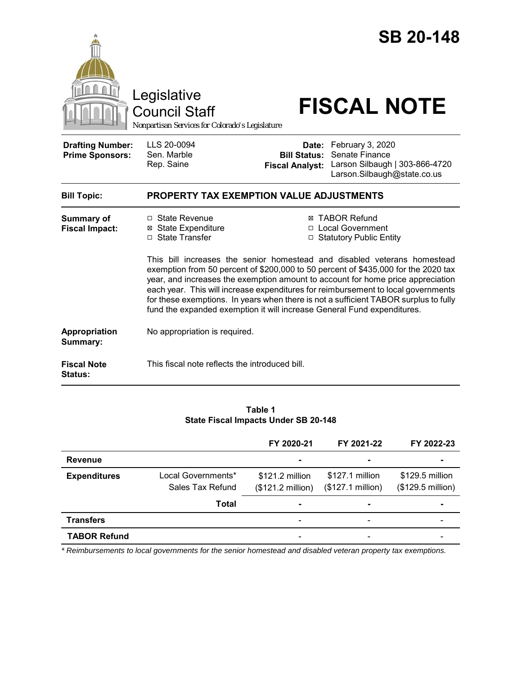|                                                   | Legislative<br><b>Council Staff</b><br>Nonpartisan Services for Colorado's Legislature                                                       |                                               | <b>SB 20-148</b><br><b>FISCAL NOTE</b>                                                                                                                                                                                                                                                                                                                                                                                                                                                                     |  |  |
|---------------------------------------------------|----------------------------------------------------------------------------------------------------------------------------------------------|-----------------------------------------------|------------------------------------------------------------------------------------------------------------------------------------------------------------------------------------------------------------------------------------------------------------------------------------------------------------------------------------------------------------------------------------------------------------------------------------------------------------------------------------------------------------|--|--|
| <b>Drafting Number:</b><br><b>Prime Sponsors:</b> | LLS 20-0094<br>Sen. Marble<br>Rep. Saine                                                                                                     | <b>Bill Status:</b><br><b>Fiscal Analyst:</b> | Date: February 3, 2020<br>Senate Finance<br>Larson Silbaugh   303-866-4720<br>Larson.Silbaugh@state.co.us                                                                                                                                                                                                                                                                                                                                                                                                  |  |  |
| <b>Bill Topic:</b>                                | <b>PROPERTY TAX EXEMPTION VALUE ADJUSTMENTS</b>                                                                                              |                                               |                                                                                                                                                                                                                                                                                                                                                                                                                                                                                                            |  |  |
| <b>Summary of</b><br><b>Fiscal Impact:</b>        | □ State Revenue<br><b>⊠</b> State Expenditure<br>□ State Transfer<br>fund the expanded exemption it will increase General Fund expenditures. |                                               | <b>⊠ TABOR Refund</b><br>□ Local Government<br>□ Statutory Public Entity<br>This bill increases the senior homestead and disabled veterans homestead<br>exemption from 50 percent of \$200,000 to 50 percent of \$435,000 for the 2020 tax<br>year, and increases the exemption amount to account for home price appreciation<br>each year. This will increase expenditures for reimbursement to local governments<br>for these exemptions. In years when there is not a sufficient TABOR surplus to fully |  |  |
| <b>Appropriation</b><br>Summary:                  | No appropriation is required.                                                                                                                |                                               |                                                                                                                                                                                                                                                                                                                                                                                                                                                                                                            |  |  |
| <b>Fiscal Note</b><br>Status:                     | This fiscal note reflects the introduced bill.                                                                                               |                                               |                                                                                                                                                                                                                                                                                                                                                                                                                                                                                                            |  |  |

### **Table 1 State Fiscal Impacts Under SB 20-148**

|                     |                                                 | FY 2020-21                                 | FY 2021-22                                             | FY 2022-23                           |
|---------------------|-------------------------------------------------|--------------------------------------------|--------------------------------------------------------|--------------------------------------|
| <b>Revenue</b>      |                                                 | $\blacksquare$                             | $\blacksquare$                                         |                                      |
| <b>Expenditures</b> | Local Governments*<br>Sales Tax Refund<br>Total | $$121.2$ million<br>(\$121.2 million)<br>۰ | \$127.1 million<br>(\$127.1 million)<br>$\blacksquare$ | \$129.5 million<br>(\$129.5 million) |
| <b>Transfers</b>    |                                                 | $\overline{\phantom{0}}$                   | $\qquad \qquad \blacksquare$                           |                                      |
| <b>TABOR Refund</b> |                                                 | -                                          | $\overline{\phantom{0}}$                               |                                      |

*\* Reimbursements to local governments for the senior homestead and disabled veteran property tax exemptions.*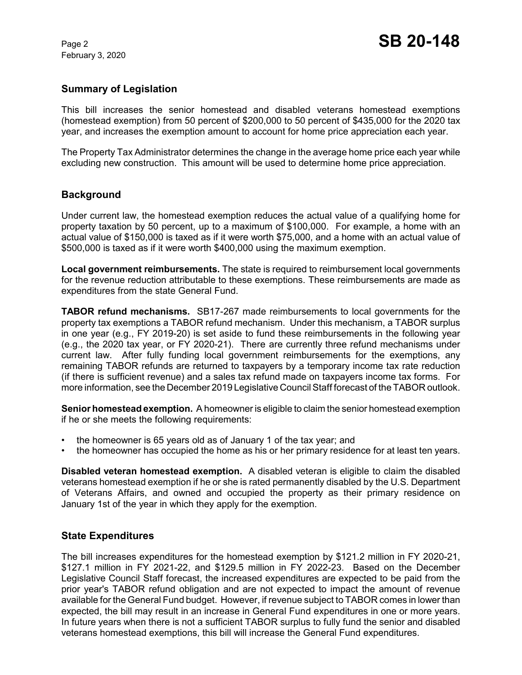February 3, 2020

## **Summary of Legislation**

This bill increases the senior homestead and disabled veterans homestead exemptions (homestead exemption) from 50 percent of \$200,000 to 50 percent of \$435,000 for the 2020 tax year, and increases the exemption amount to account for home price appreciation each year.

The Property Tax Administrator determines the change in the average home price each year while excluding new construction. This amount will be used to determine home price appreciation.

## **Background**

Under current law, the homestead exemption reduces the actual value of a qualifying home for property taxation by 50 percent, up to a maximum of \$100,000. For example, a home with an actual value of \$150,000 is taxed as if it were worth \$75,000, and a home with an actual value of \$500,000 is taxed as if it were worth \$400,000 using the maximum exemption.

**Local government reimbursements.** The state is required to reimbursement local governments for the revenue reduction attributable to these exemptions. These reimbursements are made as expenditures from the state General Fund.

**TABOR refund mechanisms.** SB17-267 made reimbursements to local governments for the property tax exemptions a TABOR refund mechanism. Under this mechanism, a TABOR surplus in one year (e.g., FY 2019-20) is set aside to fund these reimbursements in the following year (e.g., the 2020 tax year, or FY 2020-21). There are currently three refund mechanisms under current law. After fully funding local government reimbursements for the exemptions, any remaining TABOR refunds are returned to taxpayers by a temporary income tax rate reduction (if there is sufficient revenue) and a sales tax refund made on taxpayers income tax forms. For more information, see the December 2019 Legislative Council Staff forecast of the TABOR outlook.

**Senior homestead exemption.** A homeowner is eligible to claim the senior homestead exemption if he or she meets the following requirements:

- the homeowner is 65 years old as of January 1 of the tax year; and
- the homeowner has occupied the home as his or her primary residence for at least ten years.

**Disabled veteran homestead exemption.** A disabled veteran is eligible to claim the disabled veterans homestead exemption if he or she is rated permanently disabled by the U.S. Department of Veterans Affairs, and owned and occupied the property as their primary residence on January 1st of the year in which they apply for the exemption.

### **State Expenditures**

The bill increases expenditures for the homestead exemption by \$121.2 million in FY 2020-21, \$127.1 million in FY 2021-22, and \$129.5 million in FY 2022-23. Based on the December Legislative Council Staff forecast, the increased expenditures are expected to be paid from the prior year's TABOR refund obligation and are not expected to impact the amount of revenue available for the General Fund budget. However, if revenue subject to TABOR comes in lower than expected, the bill may result in an increase in General Fund expenditures in one or more years. In future years when there is not a sufficient TABOR surplus to fully fund the senior and disabled veterans homestead exemptions, this bill will increase the General Fund expenditures.